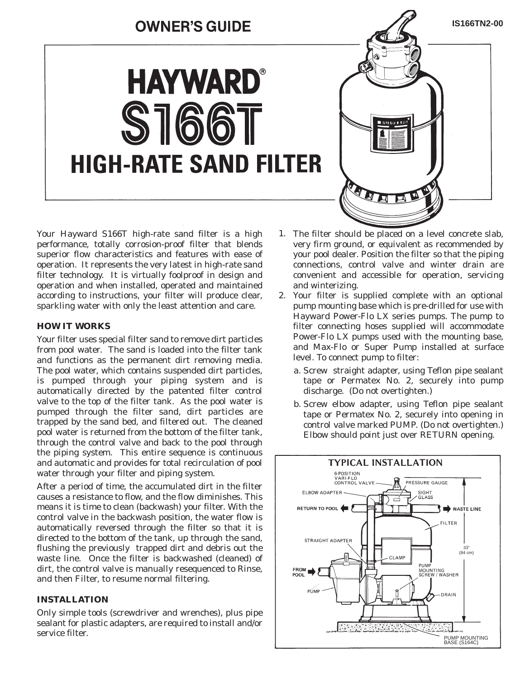## **OWNER'S GUIDE**

**HAYWARD®** 

 $S160$ **HIGH-RATE SAND FILTER** 



Your Hayward S166T high-rate sand filter is a high performance, totally corrosion-proof filter that blends superior flow characteristics and features with ease of operation. It represents the very latest in high-rate sand filter technology. It is virtually foolproof in design and operation and when installed, operated and maintained according to instructions, your filter will produce clear, sparkling water with only the least attention and care.

#### **HOW IT WORKS**

Your filter uses special filter sand to remove dirt particles from pool water. The sand is loaded into the filter tank and functions as the permanent dirt removing media. The pool water, which contains suspended dirt particles, is pumped through your piping system and is automatically directed by the patented filter control valve to the top of the filter tank. As the pool water is pumped through the filter sand, dirt particles are trapped by the sand bed, and filtered out. The cleaned pool water is returned from the bottom of the filter tank, through the control valve and back to the pool through the piping system. This entire sequence is continuous and automatic and provides for total recirculation of pool water through your filter and piping system.

After a period of time, the accumulated dirt in the filter causes a resistance to flow, and the flow diminishes. This means it is time to clean (backwash) your filter. With the control valve in the backwash position, the water flow is automatically reversed through the filter so that it is directed to the bottom of the tank, up through the sand, flushing the previously trapped dirt and debris out the waste line. Once the filter is backwashed (cleaned) of dirt, the control valve is manually resequenced to Rinse, and then Filter, to resume normal filtering.

### **INSTALLATION**

Only simple tools (screwdriver and wrenches), plus pipe sealant for plastic adapters, are required to install and/or service filter.

- The filter should be placed on a level concrete slab, very firm ground, or equivalent as recommended by your pool dealer. Position the filter so that the piping connections, control valve and winter drain are convenient and accessible for operation, servicing and winterizing. 1.
- 2. Your filter is supplied complete with an optional pump mounting base which is pre-drilled for use with Hayward Power-Flo LX series pumps. The pump to filter connecting hoses supplied will accommodate Power-Flo LX pumps used with the mounting base, and Max-Flo or Super Pump installed at surface level. To connect pump to filter:
	- a. Screw straight adapter, using Teflon pipe sealant tape or Permatex No. 2, securely into pump discharge. (Do not overtighten.)
	- b. Screw elbow adapter, using Teflon pipe sealant tape or Permatex No. 2, securely into opening in control valve marked PUMP. (Do not overtighten.) Elbow should point just over RETURN opening.

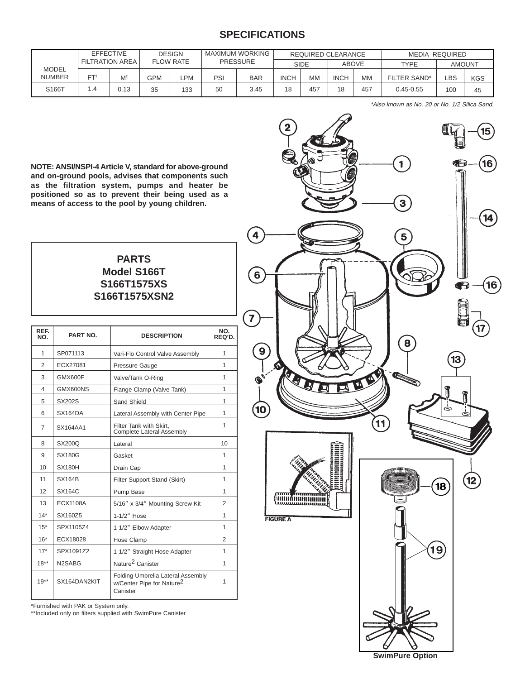## **SPECIFICATIONS**

|                        | <b>EFFECTIVE</b><br><b>FILTRATION AREA</b> |       | <b>DESIGN</b><br><b>FLOW RATE</b> |     | MAXIMUM WORKING<br><b>PRESSURE</b> |            | REQUIRED CLEARANCE |     |              | MEDIA REQUIRED |               |               |            |
|------------------------|--------------------------------------------|-------|-----------------------------------|-----|------------------------------------|------------|--------------------|-----|--------------|----------------|---------------|---------------|------------|
|                        |                                            |       |                                   |     |                                    |            | <b>SIDE</b>        |     | <b>ABOVE</b> |                | TYPF          | <b>AMOUNT</b> |            |
| MODEL<br><b>NUMBER</b> | FT <sup>2</sup>                            | $M^2$ | <b>GPM</b>                        | ∟PM | PSI                                | <b>BAR</b> | <b>INCH</b>        | MM  | <b>INCH</b>  | МM             | FILTER SAND*  | LBS.          | <b>KGS</b> |
| S166T                  | . . 4                                      | 0.13  | 35                                | 133 | 50                                 | 3.45       | 18                 | 457 | 18           | 457            | $0.45 - 0.55$ | 100           | 45         |

\*Also known as No. 20 or No. 1/2 Silica Sand.

**NOTE: ANSI/NSPI-4 Article V, standard for above-ground and on-ground pools, advises that components such as the filtration system, pumps and heater be positioned so as to prevent their being used as a means of access to the pool by young children.**

## **PARTS Model S166T S166T1575XS S166T1575XSN2**

| REF.<br>NO.    | <b>PART NO.</b>                 | <b>DESCRIPTION</b>                                                                     | NO.<br>REQ'D. |
|----------------|---------------------------------|----------------------------------------------------------------------------------------|---------------|
| $\mathbf{1}$   | SP071113                        | Vari-Flo Control Valve Assembly                                                        | 1             |
| $\mathfrak{p}$ | ECX27081                        | Pressure Gauge                                                                         | 1             |
| 3              | GMX600F                         | Valve/Tank O-Ring                                                                      | 1             |
| 4              | GMX600NS                        | Flange Clamp (Valve-Tank)                                                              | 1             |
| 5              | <b>SX202S</b>                   | Sand Shield                                                                            | 1             |
| 6              | SX164DA                         | Lateral Assembly with Center Pipe                                                      | 1             |
| 7              | SX164AA1                        | Filter Tank with Skirt,<br><b>Complete Lateral Assembly</b>                            | 1             |
| 8              | <b>SX200Q</b>                   | Lateral                                                                                | 10            |
| 9              | SX180G                          | Gasket                                                                                 | 1             |
| 10             | <b>SX180H</b>                   | Drain Cap                                                                              | 1             |
| 11             | <b>SX164B</b>                   | Filter Support Stand (Skirt)                                                           | 1             |
| 12             | SX164C                          | Pump Base                                                                              | 1             |
| 13             | <b>ECX1108A</b>                 | 5/16" x 3/4" Mounting Screw Kit                                                        | 2             |
| $14*$          | SX160Z5                         | 1-1/2" Hose                                                                            | 1             |
| $15*$          | SPX1105Z4                       | 1-1/2" Elbow Adapter                                                                   | 1             |
| $16*$          | ECX18028                        | Hose Clamp                                                                             | 2             |
| $17*$          | SPX1091Z2                       | 1-1/2" Straight Hose Adapter                                                           | 1             |
| $18***$        | N <sub>2</sub> SA <sub>BG</sub> | Nature <sup>2</sup> Canister                                                           | 1             |
| $19***$        | SX164DAN2KIT                    | Folding Umbrella Lateral Assembly<br>w/Center Pipe for Nature <sup>2</sup><br>Canister | 1             |

\*Furnished with PAK or System only.

\*\*Included only on filters supplied with SwimPure Canister

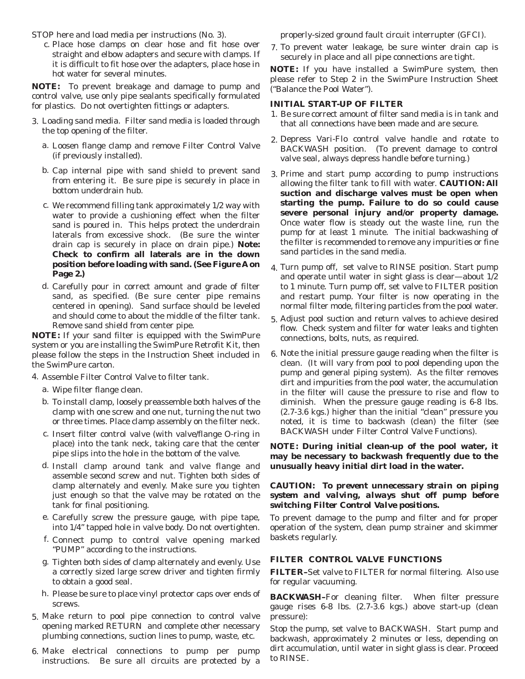STOP here and load media per instructions (No. 3).

c. Place hose clamps on clear hose and fit hose over straight and elbow adapters and secure with clamps. If it is difficult to fit hose over the adapters, place hose in hot water for several minutes.

**NOTE:** To prevent breakage and damage to pump and control valve, use only pipe sealants specifically formulated for plastics. Do not overtighten fittings or adapters.

- Loading sand media. Filter sand media is loaded through 3. the top opening of the filter.
	- a. Loosen flange clamp and remove Filter Control Valve (if previously installed).
	- b. Cap internal pipe with sand shield to prevent sand from entering it. Be sure pipe is securely in place in bottom underdrain hub.
	- c. We recommend filling tank approximately 1/2 way with water to provide a cushioning effect when the filter sand is poured in. This helps protect the underdrain laterals from excessive shock. (Be sure the winter drain cap is securely in place on drain pipe.) **Note: Check to confirm all laterals are in the down position before loading with sand. (See Figure A on Page 2.)**
	- d. Carefully pour in correct amount and grade of filter sand, as specified. (Be sure center pipe remains centered in opening). Sand surface should be leveled and should come to about the middle of the filter tank. Remove sand shield from center pipe.

**NOTE:** If your sand filter is equipped with the SwimPure system or you are installing the SwimPure Retrofit Kit, then please follow the steps in the Instruction Sheet included in the SwimPure carton.

- 4. Assemble Filter Control Valve to filter tank.
	- Wipe filter flange clean. a.
	- To install clamp, loosely preassemble both halves of the b. clamp with one screw and one nut, turning the nut two or three times. Place clamp assembly on the filter neck.
	- c. Insert filter control valve (with valve/flange O-ring in place) into the tank neck, taking care that the center pipe slips into the hole in the bottom of the valve.
	- d. Install clamp around tank and valve flange and assemble second screw and nut. Tighten both sides of clamp alternately and evenly. Make sure you tighten just enough so that the valve may be rotated on the tank for final positioning.
	- e. Carefully screw the pressure gauge, with pipe tape, into 1/4" tapped hole in valve body. Do not overtighten.
	- Connect pump to control valve opening marked f. "PUMP" according to the instructions.
	- Tighten both sides of clamp alternately and evenly. Use g. a correctly sized large screw driver and tighten firmly to obtain a good seal.
	- h. Please be sure to place vinyl protector caps over ends of screws.
- Make return to pool pipe connection to control valve 5. opening marked RETURN and complete other necessary plumbing connections, suction lines to pump, waste, etc.
- Make electrical connections to pump per pump 6. instructions. Be sure all circuits are protected by a

properly-sized ground fault circuit interrupter (GFCI).

7. To prevent water leakage, be sure winter drain cap is securely in place and all pipe connections are tight.

**NOTE:** If you have installed a SwimPure system, then please refer to Step 2 in the SwimPure Instruction Sheet ("Balance the Pool Water").

#### **INITIAL START-UP OF FILTER**

- 1. Be sure correct amount of filter sand media is in tank and that all connections have been made and are secure.
- Depress Vari-Flo control valve handle and rotate to 2. BACKWASH position. (To prevent damage to control valve seal, always depress handle before turning.)
- Prime and start pump according to pump instructions 3. allowing the filter tank to fill with water. **CAUTION: All suction and discharge valves must be open when starting the pump. Failure to do so could cause severe personal injury and/or property damage.** Once water flow is steady out the waste line, run the pump for at least 1 minute. The initial backwashing of the filter is recommended to remove any impurities or fine sand particles in the sand media.
- Turn pump off, set valve to RINSE position. Start pump 4. and operate until water in sight glass is clear—about 1/2 to 1 minute. Turn pump off, set valve to FILTER position and restart pump. Your filter is now operating in the normal filter mode, filtering particles from the pool water.
- Adjust pool suction and return valves to achieve desired 5. flow. Check system and filter for water leaks and tighten connections, bolts, nuts, as required.
- 6. Note the initial pressure gauge reading when the filter is clean. (It will vary from pool to pool depending upon the pump and general piping system). As the filter removes dirt and impurities from the pool water, the accumulation in the filter will cause the pressure to rise and flow to diminish. When the pressure gauge reading is 6-8 lbs. (2.7-3.6 kgs.) higher than the initial "clean" pressure you noted, it is time to backwash (clean) the filter (see BACKWASH under Filter Control Valve Functions).

**NOTE: During initial clean-up of the pool water, it may be necessary to backwash frequently due to the unusually heavy initial dirt load in the water.**

#### *CAUTION: To prevent unnecessary strain on piping system and valving, always shut off pump before switching Filter Control Valve positions.*

To prevent damage to the pump and filter and for proper operation of the system, clean pump strainer and skimmer baskets regularly.

#### **FILTER CONTROL VALVE FUNCTIONS**

**FILTER–**Set valve to FILTER for normal filtering. Also use for regular vacuuming.

**BACKWASH–**For cleaning filter. When filter pressure gauge rises 6-8 lbs. (2.7-3.6 kgs.) above start-up (clean pressure):

Stop the pump, set valve to BACKWASH. Start pump and backwash, approximately 2 minutes or less, depending on dirt accumulation, until water in sight glass is clear. Proceed to RINSE.